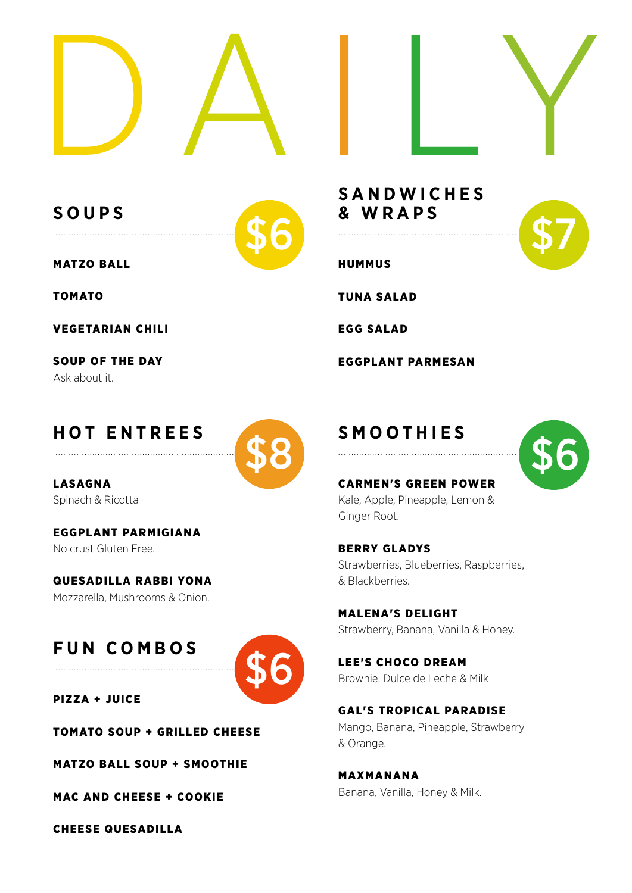

**SOUPS**



MATZO BALL

......................................................................

TOMATO

VEGETARIAN CHILI

SOUP OF THE DAY Ask about it.

### **HOT ENTREES**



LASAGNA Spinach & Ricotta

EGGPLANT PARMIGIANA No crust Gluten Free.

QUESADILLA RABBI YONA Mozzarella, Mushrooms & Onion.

# **FUN COMBOS**



PIZZA + JUICE

TOMATO SOUP + GRILLED CHEESE

MATZO BALL SOUP + SMOOTHIE

MAC AND CHEESE + COOKIE

CHEESE QUESADILLA

**SANDWICHES & WRAPS**

**HUMMUS** 

TUNA SALAD

......................................................................

EGG SALAD

EGGPLANT PARMESAN

### **SMOOTHIES**



#### CARMEN'S GREEN POWER

Kale, Apple, Pineapple, Lemon & Ginger Root.

BERRY GLADYS Strawberries, Blueberries, Raspberries, & Blackberries.

MALENA'S DELIGHT Strawberry, Banana, Vanilla & Honey.

LEE'S CHOCO DREAM Brownie, Dulce de Leche & Milk

GAL'S TROPICAL PARADISE Mango, Banana, Pineapple, Strawberry & Orange.

MAXMANANA Banana, Vanilla, Honey & Milk.